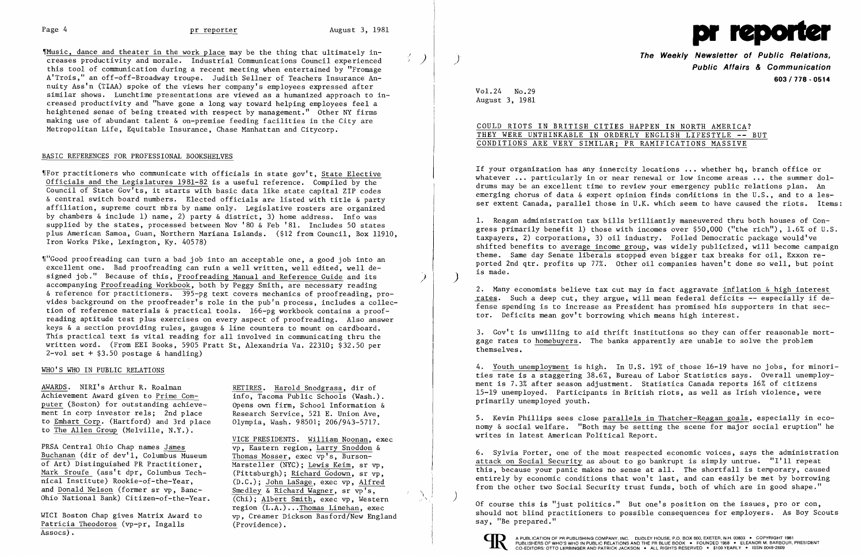"Music, dance and theater in the work place may be the thing that ultimately increases productivity and morale. Industrial Communications Council experienced this tool of communication during a recent meeting when entertained by "Fromage A'Trois," an off-off-Broadway troupe. Judith Sellner of Teachers Insurance An nuity Ass'n (TlAA) spoke of the views her company's employees expressed after similar shows. Lunchtime presentations are viewed as a humanized approach to in creased productivity and "have gone a long way toward helping employees feel a heightened sense of being treated with respect by management." Other NY firms making use of abundant talent & on-premise feeding facilities in the City are Metropolitan Life, Equitable Insurance, Chase Manhattan and Citycorp.

~1"Good proofreading can turn a bad job into an acceptable one, a good job into an excellent one. Bad proofreading can ruin a well written, well edited, well designed job." Because of this, Proofreading Manual and Reference Guide and its accompanying Proofreading Workbook, both by Peggy Smith, are necessary reading & reference for practitioners. 395-pg text covers mechanics of proofreading, provides background on the proofreader's role in the pub'n process, includes a collection of reference materials & practical tools. 166-pg workbook contains a proofreading aptitude test plus exercises on every aspect of proofreading. Also answer keys & a section providing rules, gauges & line counters to mount on cardboard. This practical text is vital reading for all involved in communicating thru the written word. (From EEl Books, 5905 Pratt St, Alexandria Va. 22310; \$32.50 per  $2$ -vol set +  $$3.50$  postage & handling)

### BASIC REFERENCES FOR PROFESSIONAL BOOKSHELVES

~IFor practitioners who communicate with officials in state gov't, State Elective Officials and the Legislatures 1981-82 is a useful reference. Compiled by the Council of State Gov'ts, it starts with basic data like state capital ZIP codes & central switch board numbers. Elected officials are listed with title & party affiliation, supreme court mbrs by name only. Legislative rosters are organized by chambers & include 1) name, 2) party & district, 3) home address. Info was supplied by the states, processed between Nov '80 & Feb '81. Includes 50 states plus American Samoa, Guam, Northern Mariana Islands. (\$12 from Council, Box 11910, Iron Works Pike, Lexington, Ky. 40578)

AWARDS. NIRI's Arthur R. Roalman RETIRES. Harold Snodgrass, dir of Achievement Award given to Prime Com- $\overline{info}$ , Tacoma Public Schools (Wash.). puter (Boston) for outstanding achieve- Opens own firm, School Information & ment in corp investor rels; 2nd place Research Service, 521 E. Union Ave, to Emhart Corp. (Hartford) and 3rd place 01ympia, Wash. 98501; 206/943-5717. to Emhart Corp. (Hartford) and 3rd place to The Allen Group (Melville, N.Y.).

VICE PRESIDENTS. William Noonan, exec Marsteller (NYC); Lewis Keim, sr vp, (D.C.); John LaSage, exec vp, Alfred Ohio National Bank) Citizen-of-the-Year. (Chi); Albert Smith, exec vp, Western region (L.A.) •..Thomas Linehan, exec WICI Boston Chap gives Matrix Award to vp, Creamer Dickson Basford/New England

PRSA Central Ohio Chap names James van voltet van Tegion, Larry Snoddon & Buchanan (dir of dev'l, Columbus Museum Thomas Mosser, exec vp's, Burson-<br>of Art) Distinguished PR Practitioner. Marsteller (NYC): Lewis Keim, sr Mark Sroufe (ass't dpr, Columbus Tech-<br>
mical Institute) Rookie-of-the-Year, (D.C.): John LaSage, exec vp. Alfred and Donald Nelson (former sr vp, Banc-<br>
Smedley  $\overline{\&}$  Richard Wagner, sr vp's,

Patricia Theodoros (vp-pr, Ingalls (Providence).<br>Assocs).

)  $\mathbb{R}$ 

) Ì.

 $\ddot{\phantom{0}}$ l,  $\frac{1}{2}$  **The Weekly Newsletter of Public Relations, Public Affairs & Communication 603/778 - 0514** 

# WHO'S WHO IN PUBLIC RELATIONS



Vol. 24 No.29 August 3, 1981

# COULD RIOTS IN BRITISH CITIES HAPPEN IN NORTH AMERICA? THEY WERE UNTHINKABLE IN ORDERLY ENGLISH LIFESTYLE **--** BUT CONDITIONS ARE VERY SIMILAR; PR RAMIFICATIONS MASSIVE

If your organization has any innercity locations **...** whether hq, branch office or whatever **.•.** particularly in or near renewal or low income areas **...** the summer doldrums may be an excellent time to review your emergency public relations plan. An emerging chorus of data  $\&$  expert opinion finds conditions in the U.S., and to a lesser extent Canada, parallel those in U.K. which seem to have caused the riots. Items:

1. Reagan administration tax bills brilliantly maneuvered thru both houses of Congress primarily benefit 1) those with incomes over \$50,000 ("the rich"), 1.6% of U.S. taxpayers, 2) corporations, 3) oil industry. Foiled Democratic package would've shifted benefits to average income group, was widely publicized, will become campaign theme. Same day Senate liberals stopped even bigger tax breaks for oil, Exxon reported 2nd qtr. profits up 77%. Other oil companies haven't done so well, but point is made. )

2. Many economists believe tax cut may in fact aggravate inflation & high interest rates. Such a deep cut, they argue, will mean federal deficits -- especially if defense spending is to increase as President has promised his supporters in that sector. Deficits mean gov't borrowing which means high interest.

3. Gov't is unwilling to aid thrift institutions so they can offer reasonable mortgage rates to homebuyers. The banks apparently are unable to solve the problem themselves.

4. Youth unemployment is high. In U.S. 19% of those 16-19 have no jobs, for minorities rate is a staggering 38.6%, Bureau of Labor Statistics says. Overall unemployment is 7.3% after season adjustment. Statistics Canada reports 16% of citizens 15-19 unemployed. Participants in British riots, as well as Irish violence, were primarily unemployed youth.

5. Kevin Phillips sees close parallels in Thatcher-Reagan goals, especially in economy & social welfare. "Both may be setting the scene for major social eruption" he writes in latest American Political Report.

6. Sylvia Porter, one of the most respected economic voices, says the administration attack on Social Security as about to go bankrupt is simply untrue. "I'll repeat this, because your panic makes no sense at all. The shortfall is tenporary, caused entirely by economic conditions that won't last, and can easily be met by borrowing from the other two Social Security trust funds, both of which are in good shape."

) Of course this is "just politics." But one's position on the issues, pro or con, should not blind practitioners to possible consequences for employers. As Boy Scouts say, "Be prepared."